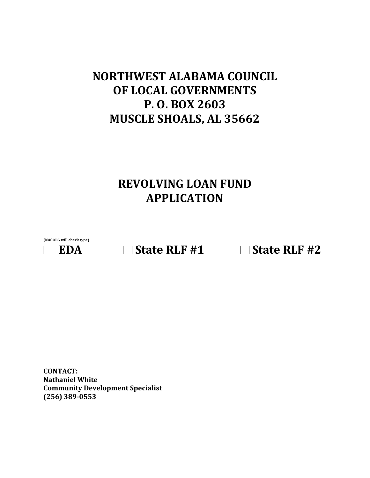# **NORTHWEST ALABAMA COUNCIL OF LOCAL GOVERNMENTS P. O. BOX 2603 MUSCLE SHOALS, AL 35662**

# **REVOLVING LOAN FUND APPLICATION**

**(NACOLG will check type)**



 $\Box$  **EDA**  $\Box$  State RLF #1  $\Box$  State RLF #2

**CONTACT: Nathaniel White Community Development Specialist (256) 389-0553**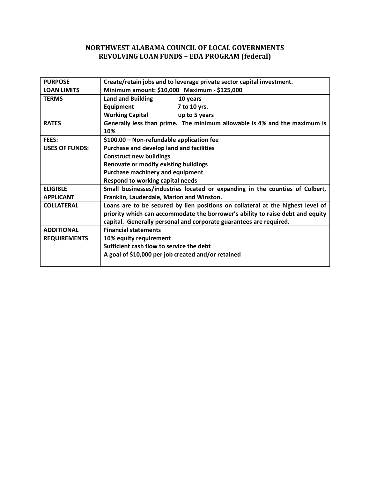# **NORTHWEST ALABAMA COUNCIL OF LOCAL GOVERNMENTS REVOLVING LOAN FUNDS – EDA PROGRAM (federal)**

| <b>PURPOSE</b>        | Create/retain jobs and to leverage private sector capital investment.           |  |  |  |  |  |  |
|-----------------------|---------------------------------------------------------------------------------|--|--|--|--|--|--|
| <b>LOAN LIMITS</b>    | Minimum amount: \$10,000 Maximum - \$125,000                                    |  |  |  |  |  |  |
| <b>TERMS</b>          | <b>Land and Building</b><br>10 years                                            |  |  |  |  |  |  |
|                       | Equipment<br>7 to 10 yrs.                                                       |  |  |  |  |  |  |
|                       | <b>Working Capital</b><br>up to 5 years                                         |  |  |  |  |  |  |
| <b>RATES</b>          | Generally less than prime. The minimum allowable is 4% and the maximum is       |  |  |  |  |  |  |
|                       | 10%                                                                             |  |  |  |  |  |  |
| FEES:                 | \$100.00 - Non-refundable application fee                                       |  |  |  |  |  |  |
| <b>USES OF FUNDS:</b> | <b>Purchase and develop land and facilities</b>                                 |  |  |  |  |  |  |
|                       | <b>Construct new buildings</b>                                                  |  |  |  |  |  |  |
|                       | Renovate or modify existing buildings                                           |  |  |  |  |  |  |
|                       | Purchase machinery and equipment                                                |  |  |  |  |  |  |
|                       | Respond to working capital needs                                                |  |  |  |  |  |  |
| <b>ELIGIBLE</b>       | Small businesses/industries located or expanding in the counties of Colbert,    |  |  |  |  |  |  |
| <b>APPLICANT</b>      | Franklin, Lauderdale, Marion and Winston.                                       |  |  |  |  |  |  |
| <b>COLLATERAL</b>     | Loans are to be secured by lien positions on collateral at the highest level of |  |  |  |  |  |  |
|                       | priority which can accommodate the borrower's ability to raise debt and equity  |  |  |  |  |  |  |
|                       | capital. Generally personal and corporate guarantees are required.              |  |  |  |  |  |  |
| <b>ADDITIONAL</b>     | <b>Financial statements</b>                                                     |  |  |  |  |  |  |
| <b>REQUIREMENTS</b>   | 10% equity requirement                                                          |  |  |  |  |  |  |
|                       | Sufficient cash flow to service the debt                                        |  |  |  |  |  |  |
|                       | A goal of \$10,000 per job created and/or retained                              |  |  |  |  |  |  |
|                       |                                                                                 |  |  |  |  |  |  |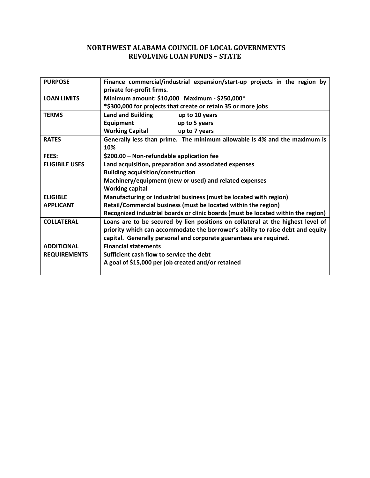# **NORTHWEST ALABAMA COUNCIL OF LOCAL GOVERNMENTS REVOLVING LOAN FUNDS – STATE**

| <b>PURPOSE</b>        | Finance commercial/industrial expansion/start-up projects in the region by<br>private for-profit firms. |  |  |  |  |  |
|-----------------------|---------------------------------------------------------------------------------------------------------|--|--|--|--|--|
| <b>LOAN LIMITS</b>    | Minimum amount: \$10,000 Maximum - \$250,000*                                                           |  |  |  |  |  |
|                       | *\$300,000 for projects that create or retain 35 or more jobs                                           |  |  |  |  |  |
| <b>TERMS</b>          | <b>Land and Building</b><br>up to 10 years                                                              |  |  |  |  |  |
|                       | <b>Equipment</b><br>up to 5 years                                                                       |  |  |  |  |  |
|                       | <b>Working Capital</b><br>up to 7 years                                                                 |  |  |  |  |  |
| <b>RATES</b>          | Generally less than prime. The minimum allowable is 4% and the maximum is                               |  |  |  |  |  |
|                       | 10%                                                                                                     |  |  |  |  |  |
| FEES:                 | \$200.00 - Non-refundable application fee                                                               |  |  |  |  |  |
| <b>ELIGIBILE USES</b> | Land acquisition, preparation and associated expenses                                                   |  |  |  |  |  |
|                       | <b>Building acquisition/construction</b>                                                                |  |  |  |  |  |
|                       | Machinery/equipment (new or used) and related expenses                                                  |  |  |  |  |  |
|                       | <b>Working capital</b>                                                                                  |  |  |  |  |  |
| <b>ELIGIBLE</b>       | Manufacturing or industrial business (must be located with region)                                      |  |  |  |  |  |
| <b>APPLICANT</b>      | Retail/Commercial business (must be located within the region)                                          |  |  |  |  |  |
|                       | Recognized industrial boards or clinic boards (must be located within the region)                       |  |  |  |  |  |
| <b>COLLATERAL</b>     | Loans are to be secured by lien positions on collateral at the highest level of                         |  |  |  |  |  |
|                       | priority which can accommodate the borrower's ability to raise debt and equity                          |  |  |  |  |  |
|                       | capital. Generally personal and corporate guarantees are required.                                      |  |  |  |  |  |
| <b>ADDITIONAL</b>     | <b>Financial statements</b>                                                                             |  |  |  |  |  |
| <b>REQUIREMENTS</b>   | Sufficient cash flow to service the debt                                                                |  |  |  |  |  |
|                       | A goal of \$15,000 per job created and/or retained                                                      |  |  |  |  |  |
|                       |                                                                                                         |  |  |  |  |  |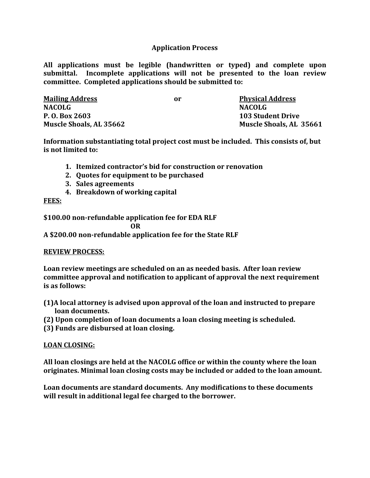## **Application Process**

**All applications must be legible (handwritten or typed) and complete upon submittal. Incomplete applications will not be presented to the loan review committee. Completed applications should be submitted to:**

| <b>Mailing Address</b>         | or | <b>Physical Address</b>        |
|--------------------------------|----|--------------------------------|
| <b>NACOLG</b>                  |    | NACOLG                         |
| P. O. Box 2603                 |    | <b>103 Student Drive</b>       |
| <b>Muscle Shoals, AL 35662</b> |    | <b>Muscle Shoals, AL 35661</b> |

**Information substantiating total project cost must be included. This consists of, but is not limited to:**

- **1. Itemized contractor's bid for construction or renovation**
- **2. Quotes for equipment to be purchased**
- **3. Sales agreements**
- **4. Breakdown of working capital**

#### **FEES:**

**\$100.00 non-refundable application fee for EDA RLF**

**OR**

**A \$200.00 non-refundable application fee for the State RLF** 

### **REVIEW PROCESS:**

**Loan review meetings are scheduled on an as needed basis. After loan review committee approval and notification to applicant of approval the next requirement is as follows:**

- **(1)A local attorney is advised upon approval of the loan and instructed to prepare loan documents.**
- **(2) Upon completion of loan documents a loan closing meeting is scheduled.**
- **(3) Funds are disbursed at loan closing.**

### **LOAN CLOSING:**

**All loan closings are held at the NACOLG office or within the county where the loan originates. Minimal loan closing costs may be included or added to the loan amount.**

**Loan documents are standard documents. Any modifications to these documents will result in additional legal fee charged to the borrower.**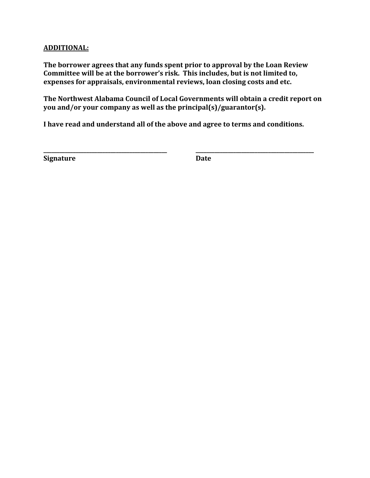## **ADDITIONAL:**

**The borrower agrees that any funds spent prior to approval by the Loan Review Committee will be at the borrower's risk. This includes, but is not limited to, expenses for appraisals, environmental reviews, loan closing costs and etc.**

**The Northwest Alabama Council of Local Governments will obtain a credit report on you and/or your company as well as the principal(s)/guarantor(s).**

**I have read and understand all of the above and agree to terms and conditions.**

**\_\_\_\_\_\_\_\_\_\_\_\_\_\_\_\_\_\_\_\_\_\_\_\_\_\_\_\_\_\_\_\_\_\_\_\_\_\_\_\_\_\_\_\_\_\_ \_\_\_\_\_\_\_\_\_\_\_\_\_\_\_\_\_\_\_\_\_\_\_\_\_\_\_\_\_\_\_\_\_\_\_\_\_\_\_\_\_\_\_\_** 

**Signature Date**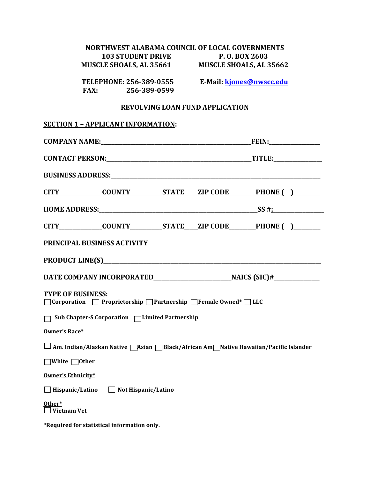| NORTHWEST ALABAMA COUNCIL OF LOCAL GOVERNMENTS                                                 |                          |  |  |  |  |
|------------------------------------------------------------------------------------------------|--------------------------|--|--|--|--|
| <b>103 STUDENT DRIVE</b><br>MUSCLE SHOALS, AL 35661 MUSCLE SHOALS, AL 35662                    | P. O. BOX 2603           |  |  |  |  |
| TELEPHONE: 256-389-0555<br><b>FAX:</b><br>256-389-0599                                         | E-Mail: kjones@nwscc.edu |  |  |  |  |
| <b>REVOLVING LOAN FUND APPLICATION</b>                                                         |                          |  |  |  |  |
| <b>SECTION 1 - APPLICANT INFORMATION:</b>                                                      |                          |  |  |  |  |
|                                                                                                |                          |  |  |  |  |
|                                                                                                |                          |  |  |  |  |
|                                                                                                |                          |  |  |  |  |
| CITY_____________COUNTY__________STATE____ZIP CODE________PHONE ( )________                    |                          |  |  |  |  |
|                                                                                                |                          |  |  |  |  |
| CITY_____________COUNTY__________STATE____ZIP CODE________PHONE ( )________                    |                          |  |  |  |  |
|                                                                                                |                          |  |  |  |  |
|                                                                                                |                          |  |  |  |  |
|                                                                                                |                          |  |  |  |  |
| <b>TYPE OF BUSINESS:</b><br>□ Corporation □ Proprietorship □ Partnership □ Female Owned* □ LLC |                          |  |  |  |  |
| Sub Chapter-S Corporation □Limited Partnership                                                 |                          |  |  |  |  |
| Owner's Race*                                                                                  |                          |  |  |  |  |
| ∫Am. Indian/Alaskan Native ∏Asian ∏Black/African Am∏Native Hawaiian/Pacific Islander           |                          |  |  |  |  |
| White ∩Other                                                                                   |                          |  |  |  |  |
| Owner's Ethnicity*                                                                             |                          |  |  |  |  |
| $\Box$ Hispanic/Latino<br>Not Hispanic/Latino                                                  |                          |  |  |  |  |
| Other*<br><b>Vietnam Vet</b>                                                                   |                          |  |  |  |  |

**\*Required for statistical information only.**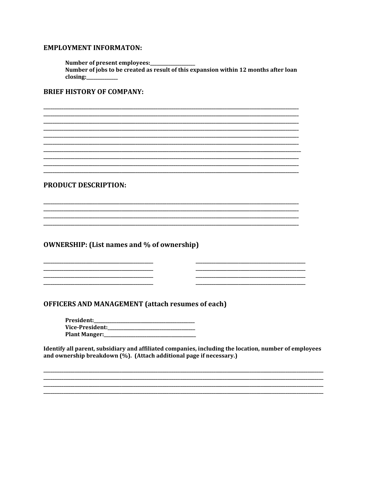### **EMPLOYMENT INFORMATON:**

Number of present employees:\_\_\_\_ Number of jobs to be created as result of this expansion within 12 months after loan  $\frac{1}{2}$  closing:

## **BRIEF HISTORY OF COMPANY:**

**PRODUCT DESCRIPTION:** 

**OWNERSHIP:** (List names and % of ownership)

**OFFICERS AND MANAGEMENT (attach resumes of each)** 

President: 

Identify all parent, subsidiary and affiliated companies, including the location, number of employees and ownership breakdown (%). (Attach additional page if necessary.)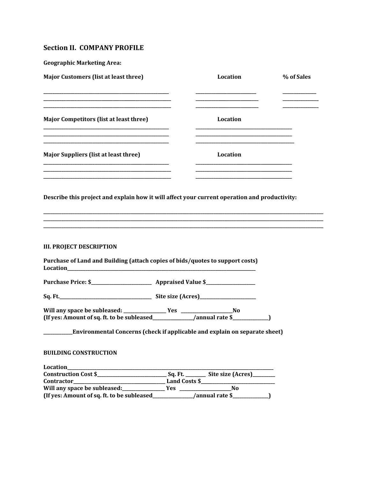# **Section II. COMPANY PROFILE**

| <b>Geographic Marketing Area:</b>                                                             |                                                                            |            |
|-----------------------------------------------------------------------------------------------|----------------------------------------------------------------------------|------------|
| <b>Major Customers (list at least three)</b>                                                  | Location                                                                   | % of Sales |
| <b>Major Competitors (list at least three)</b>                                                | Location                                                                   |            |
| <b>Major Suppliers (list at least three)</b>                                                  | <u> 1989 - Johann Barbara, margaret eta idazlea (h. 1989).</u><br>Location |            |
| Describe this project and explain how it will affect your current operation and productivity: |                                                                            |            |
|                                                                                               |                                                                            |            |
| <b>III. PROJECT DESCRIPTION</b>                                                               |                                                                            |            |
| Purchase of Land and Building (attach copies of bids/quotes to support costs)                 |                                                                            |            |
|                                                                                               |                                                                            |            |
|                                                                                               |                                                                            |            |
|                                                                                               |                                                                            |            |
| _Environmental Concerns (check if applicable and explain on separate sheet)                   |                                                                            |            |
| <b>BUILDING CONSTRUCTION</b>                                                                  |                                                                            |            |
| Location_                                                                                     |                                                                            |            |
|                                                                                               |                                                                            |            |
|                                                                                               |                                                                            |            |
|                                                                                               |                                                                            |            |
| (If yes: Amount of sq. ft. to be subleased_                                                   | /annual rate \$                                                            |            |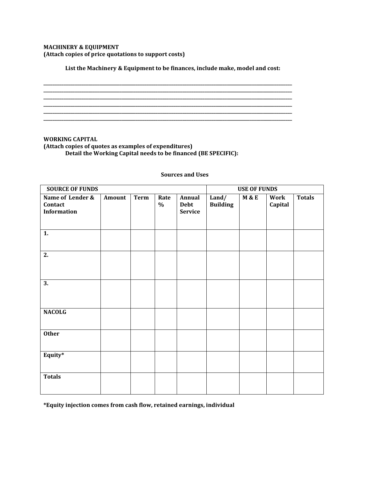#### **MACHINERY & EQUIPMENT (Attach copies of price quotations to support costs)**

**List the Machinery & Equipment to be finances, include make, model and cost:**

**\_\_\_\_\_\_\_\_\_\_\_\_\_\_\_\_\_\_\_\_\_\_\_\_\_\_\_\_\_\_\_\_\_\_\_\_\_\_\_\_\_\_\_\_\_\_\_\_\_\_\_\_\_\_\_\_\_\_\_\_\_\_\_\_\_\_\_\_\_\_\_\_\_\_\_\_\_\_\_\_\_\_\_\_\_\_\_\_\_\_\_\_\_\_\_\_\_\_\_\_\_\_\_\_\_\_\_\_\_\_\_ \_\_\_\_\_\_\_\_\_\_\_\_\_\_\_\_\_\_\_\_\_\_\_\_\_\_\_\_\_\_\_\_\_\_\_\_\_\_\_\_\_\_\_\_\_\_\_\_\_\_\_\_\_\_\_\_\_\_\_\_\_\_\_\_\_\_\_\_\_\_\_\_\_\_\_\_\_\_\_\_\_\_\_\_\_\_\_\_\_\_\_\_\_\_\_\_\_\_\_\_\_\_\_\_\_\_\_\_\_\_\_** 

**\_\_\_\_\_\_\_\_\_\_\_\_\_\_\_\_\_\_\_\_\_\_\_\_\_\_\_\_\_\_\_\_\_\_\_\_\_\_\_\_\_\_\_\_\_\_\_\_\_\_\_\_\_\_\_\_\_\_\_\_\_\_\_\_\_\_\_\_\_\_\_\_\_\_\_\_\_\_\_\_\_\_\_\_\_\_\_\_\_\_\_\_\_\_\_\_\_\_\_\_\_\_\_\_\_\_\_\_\_\_\_** 

**\_\_\_\_\_\_\_\_\_\_\_\_\_\_\_\_\_\_\_\_\_\_\_\_\_\_\_\_\_\_\_\_\_\_\_\_\_\_\_\_\_\_\_\_\_\_\_\_\_\_\_\_\_\_\_\_\_\_\_\_\_\_\_\_\_\_\_\_\_\_\_\_\_\_\_\_\_\_\_\_\_\_\_\_\_\_\_\_\_\_\_\_\_\_\_\_\_\_\_\_\_\_\_\_\_\_\_\_\_\_\_** 

**\_\_\_\_\_\_\_\_\_\_\_\_\_\_\_\_\_\_\_\_\_\_\_\_\_\_\_\_\_\_\_\_\_\_\_\_\_\_\_\_\_\_\_\_\_\_\_\_\_\_\_\_\_\_\_\_\_\_\_\_\_\_\_\_\_\_\_\_\_\_\_\_\_\_\_\_\_\_\_\_\_\_\_\_\_\_\_\_\_\_\_\_\_\_\_\_\_\_\_\_\_\_\_\_\_\_\_\_\_\_\_ \_\_\_\_\_\_\_\_\_\_\_\_\_\_\_\_\_\_\_\_\_\_\_\_\_\_\_\_\_\_\_\_\_\_\_\_\_\_\_\_\_\_\_\_\_\_\_\_\_\_\_\_\_\_\_\_\_\_\_\_\_\_\_\_\_\_\_\_\_\_\_\_\_\_\_\_\_\_\_\_\_\_\_\_\_\_\_\_\_\_\_\_\_\_\_\_\_\_\_\_\_\_\_\_\_\_\_\_\_\_\_** 

**WORKING CAPITAL (Attach copies of quotes as examples of expenditures) Detail the Working Capital needs to be financed (BE SPECIFIC):**

#### **Sources and Uses**

| <b>SOURCE OF FUNDS</b>                            |        |             |              | <b>USE OF FUNDS</b>              |                          |                  |                 |               |
|---------------------------------------------------|--------|-------------|--------------|----------------------------------|--------------------------|------------------|-----------------|---------------|
| Name of Lender &<br>Contact<br><b>Information</b> | Amount | <b>Term</b> | Rate<br>$\%$ | Annual<br>Debt<br><b>Service</b> | Land/<br><b>Building</b> | <b>M &amp; E</b> | Work<br>Capital | <b>Totals</b> |
| 1.                                                |        |             |              |                                  |                          |                  |                 |               |
| 2.                                                |        |             |              |                                  |                          |                  |                 |               |
| 3.                                                |        |             |              |                                  |                          |                  |                 |               |
| <b>NACOLG</b>                                     |        |             |              |                                  |                          |                  |                 |               |
| <b>Other</b>                                      |        |             |              |                                  |                          |                  |                 |               |
| Equity*                                           |        |             |              |                                  |                          |                  |                 |               |
| <b>Totals</b>                                     |        |             |              |                                  |                          |                  |                 |               |

**\*Equity injection comes from cash flow, retained earnings, individual**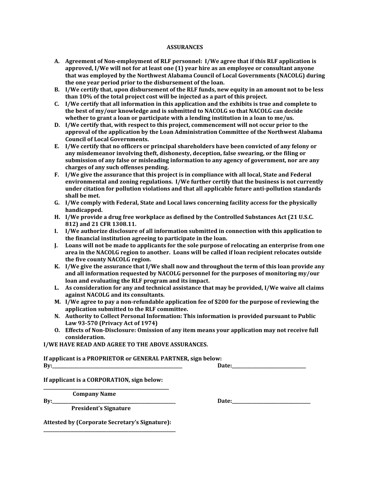#### **ASSURANCES**

- **A. Agreement of Non-employment of RLF personnel: I/We agree that if this RLF application is approved, I/We will not for at least one (1) year hire as an employee or consultant anyone that was employed by the Northwest Alabama Council of Local Governments (NACOLG) during the one year period prior to the disbursement of the loan.**
- **B. I/We certify that, upon disbursement of the RLF funds, new equity in an amount not to be less than 10% of the total project cost will be injected as a part of this project.**
- **C. I/We certify that all information in this application and the exhibits is true and complete to the best of my/our knowledge and is submitted to NACOLG so that NACOLG can decide whether to grant a loan or participate with a lending institution in a loan to me/us.**
- **D. I/We certify that, with respect to this project, commencement will not occur prior to the approval of the application by the Loan Administration Committee of the Northwest Alabama Council of Local Governments.**
- **E. I/We certify that no officers or principal shareholders have been convicted of any felony or any misdemeanor involving theft, dishonesty, deception, false swearing, or the filing or submission of any false or misleading information to any agency of government, nor are any charges of any such offenses pending.**
- **F. I/We give the assurance that this project is in compliance with all local, State and Federal environmental and zoning regulations. I/We further certify that the business is not currently under citation for pollution violations and that all applicable future anti-pollution standards shall be met.**
- **G. I/We comply with Federal, State and Local laws concerning facility access for the physically handicapped.**
- **H. I/We provide a drug free workplace as defined by the Controlled Substances Act (21 U.S.C. 812) and 21 CFR 1308.11.**
- **I. I/We authorize disclosure of all information submitted in connection with this application to the financial institution agreeing to participate in the loan.**
- **J. Loans will not be made to applicants for the sole purpose of relocating an enterprise from one area in the NACOLG region to another. Loans will be called if loan recipient relocates outside the five county NACOLG region.**
- **K. I/We give the assurance that I/We shall now and throughout the term of this loan provide any and all information requested by NACOLG personnel for the purposes of monitoring my/our loan and evaluating the RLF program and its impact.**
- **L. As consideration for any and technical assistance that may be provided, I/We waive all claims against NACOLG and its consultants.**
- **M. I/We agree to pay a non-refundable application fee of \$200 for the purpose of reviewing the application submitted to the RLF committee.**
- **N. Authority to Collect Personal Information: This information is provided pursuant to Public Law 93-570 (Privacy Act of 1974)**
- **O. Effects of Non-Disclosure: Omission of any item means your application may not receive full consideration.**

**I/WE HAVE READ AND AGREE TO THE ABOVE ASSURANCES.**

**If applicant is a PROPRIETOR or GENERAL PARTNER, sign below: By:\_\_\_\_\_\_\_\_\_\_\_\_\_\_\_\_\_\_\_\_\_\_\_\_\_\_\_\_\_\_\_\_\_\_\_\_\_\_\_\_\_\_\_\_\_\_\_\_\_\_\_\_\_\_\_\_\_\_ Date:\_\_\_\_\_\_\_\_\_\_\_\_\_\_\_\_\_\_\_\_\_\_\_\_\_\_\_\_\_\_\_\_\_** 

**If applicant is a CORPORATION, sign below: \_\_\_\_\_\_\_\_\_\_\_\_\_\_\_\_\_\_\_\_\_\_\_\_\_\_\_\_\_\_\_\_\_\_\_\_\_\_\_\_\_\_\_\_\_\_\_\_\_\_\_\_\_\_\_\_**

 **Company Name**

 **President's Signature**

**By:** Date:

**Attested by (Corporate Secretary's Signature): \_\_\_\_\_\_\_\_\_\_\_\_\_\_\_\_\_\_\_\_\_\_\_\_\_\_\_\_\_\_\_\_\_\_\_\_\_\_\_\_\_\_\_\_\_\_\_\_\_\_\_\_\_\_\_\_\_\_\_**